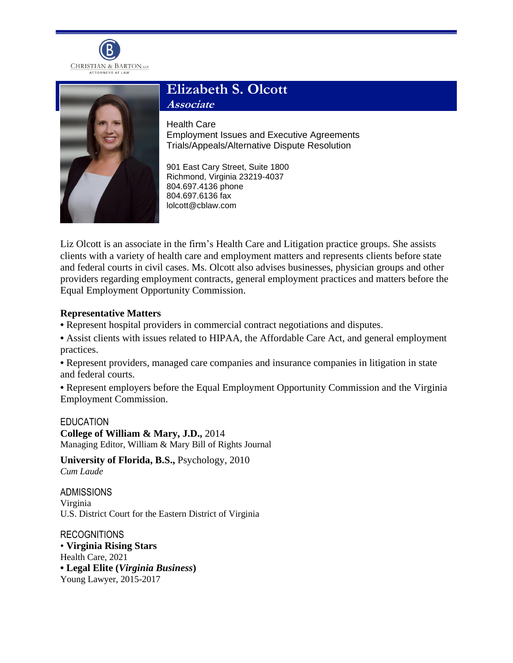



# **Elizabeth S. Olcott Associate**

Health Care

Employment Issues and Executive Agreements Trials/Appeals/Alternative Dispute Resolution

901 East Cary Street, Suite 1800 Richmond, Virginia 23219-4037 804.697.4136 phone 804.697.6136 fax lolcott@cblaw.com

Liz Olcott is an associate in the firm's Health Care and Litigation practice groups. She assists clients with a variety of health care and employment matters and represents clients before state and federal courts in civil cases. Ms. Olcott also advises businesses, physician groups and other providers regarding employment contracts, general employment practices and matters before the Equal Employment Opportunity Commission.

## **Representative Matters**

- **•** Represent hospital providers in commercial contract negotiations and disputes.
- **•** Assist clients with issues related to HIPAA, the Affordable Care Act, and general employment practices.

**•** Represent providers, managed care companies and insurance companies in litigation in state and federal courts.

**•** Represent employers before the Equal Employment Opportunity Commission and the Virginia Employment Commission.

### **EDUCATION**

**College of William & Mary, J.D.,** 2014 Managing Editor, William & Mary Bill of Rights Journal

**University of Florida, B.S.,** Psychology, 2010 *Cum Laude*

ADMISSIONS Virginia U.S. District Court for the Eastern District of Virginia

RECOGNITIONS • **Virginia Rising Stars** Health Care, 2021 **• Legal Elite (***Virginia Business***)** Young Lawyer, 2015-2017